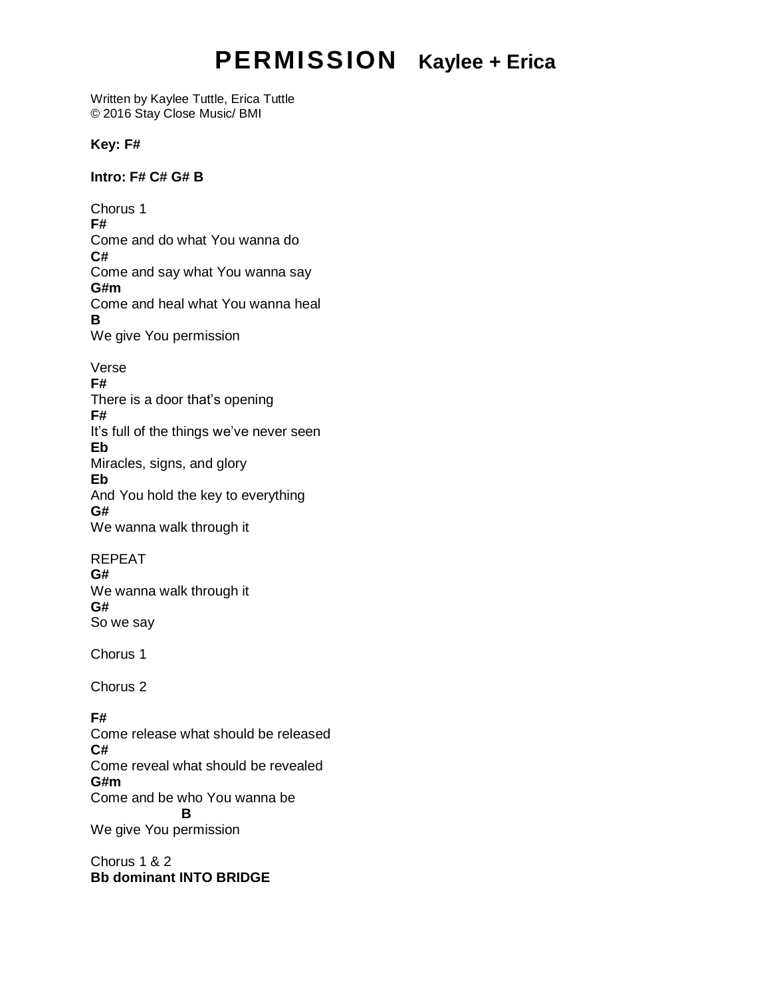# **PERMISSION Kaylee + Erica**

Written by Kaylee Tuttle, Erica Tuttle © 2016 Stay Close Music/ BMI

### **Key: F#**

#### **Intro: F# C# G# B**

Chorus 1 **F#** Come and do what You wanna do **C#** Come and say what You wanna say **G#m**  Come and heal what You wanna heal **B** We give You permission

#### Verse

#### **F#**

There is a door that's opening **F#** It's full of the things we've never seen **Eb** Miracles, signs, and glory **Eb** And You hold the key to everything **G#** We wanna walk through it

#### REPEAT

**G#**

We wanna walk through it **G#** So we say

Chorus 1

Chorus 2

## **F#**

Come release what should be released **C#** Come reveal what should be revealed **G#m**  Come and be who You wanna be **B** We give You permission

Chorus 1 & 2 **Bb dominant INTO BRIDGE**